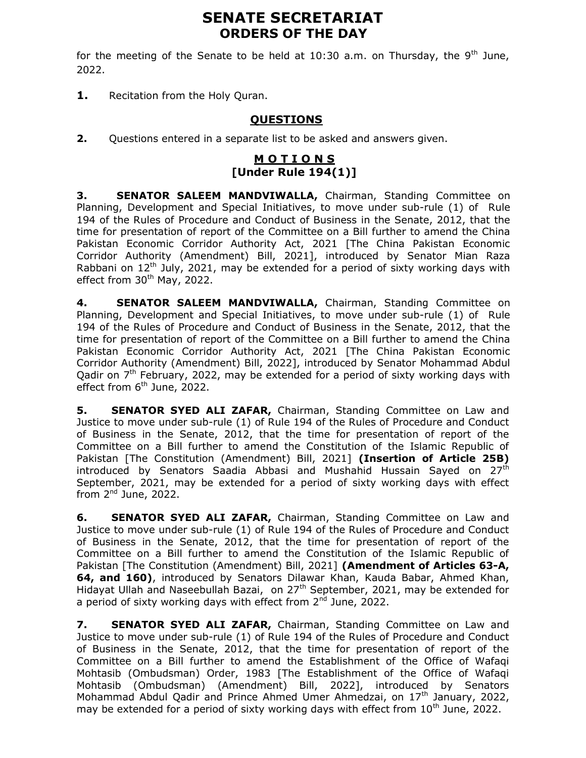# SENATE SECRETARIAT ORDERS OF THE DAY

for the meeting of the Senate to be held at  $10:30$  a.m. on Thursday, the 9<sup>th</sup> June, 2022.

1. Recitation from the Holy Quran.

## QUESTIONS

2. Questions entered in a separate list to be asked and answers given.

# M O T I O N S [Under Rule 194(1)]

3. SENATOR SALEEM MANDVIWALLA, Chairman, Standing Committee on Planning, Development and Special Initiatives, to move under sub-rule (1) of Rule 194 of the Rules of Procedure and Conduct of Business in the Senate, 2012, that the time for presentation of report of the Committee on a Bill further to amend the China Pakistan Economic Corridor Authority Act, 2021 [The China Pakistan Economic Corridor Authority (Amendment) Bill, 2021], introduced by Senator Mian Raza Rabbani on  $12<sup>th</sup>$  July, 2021, may be extended for a period of sixty working days with effect from 30<sup>th</sup> May, 2022.

4. SENATOR SALEEM MANDVIWALLA, Chairman, Standing Committee on Planning, Development and Special Initiatives, to move under sub-rule (1) of Rule 194 of the Rules of Procedure and Conduct of Business in the Senate, 2012, that the time for presentation of report of the Committee on a Bill further to amend the China Pakistan Economic Corridor Authority Act, 2021 [The China Pakistan Economic Corridor Authority (Amendment) Bill, 2022], introduced by Senator Mohammad Abdul Oadir on  $7<sup>th</sup>$  February, 2022, may be extended for a period of sixty working days with effect from  $6<sup>th</sup>$  June, 2022.

5. SENATOR SYED ALI ZAFAR, Chairman, Standing Committee on Law and Justice to move under sub-rule (1) of Rule 194 of the Rules of Procedure and Conduct of Business in the Senate, 2012, that the time for presentation of report of the Committee on a Bill further to amend the Constitution of the Islamic Republic of Pakistan [The Constitution (Amendment) Bill, 2021] (Insertion of Article 25B) introduced by Senators Saadia Abbasi and Mushahid Hussain Sayed on 27th September, 2021, may be extended for a period of sixty working days with effect from  $2<sup>nd</sup>$  June, 2022.

**6.** SENATOR SYED ALI ZAFAR, Chairman, Standing Committee on Law and Justice to move under sub-rule (1) of Rule 194 of the Rules of Procedure and Conduct of Business in the Senate, 2012, that the time for presentation of report of the Committee on a Bill further to amend the Constitution of the Islamic Republic of Pakistan [The Constitution (Amendment) Bill, 2021] (Amendment of Articles 63-A, 64, and 160), introduced by Senators Dilawar Khan, Kauda Babar, Ahmed Khan, Hidayat Ullah and Naseebullah Bazai, on 27<sup>th</sup> September, 2021, may be extended for a period of sixty working days with effect from 2<sup>nd</sup> June, 2022.

7. SENATOR SYED ALI ZAFAR, Chairman, Standing Committee on Law and Justice to move under sub-rule (1) of Rule 194 of the Rules of Procedure and Conduct of Business in the Senate, 2012, that the time for presentation of report of the Committee on a Bill further to amend the Establishment of the Office of Wafaqi Mohtasib (Ombudsman) Order, 1983 [The Establishment of the Office of Wafaqi Mohtasib (Ombudsman) (Amendment) Bill, 2022], introduced by Senators Mohammad Abdul Qadir and Prince Ahmed Umer Ahmedzai, on 17<sup>th</sup> January, 2022, may be extended for a period of sixty working days with effect from  $10^{th}$  June, 2022.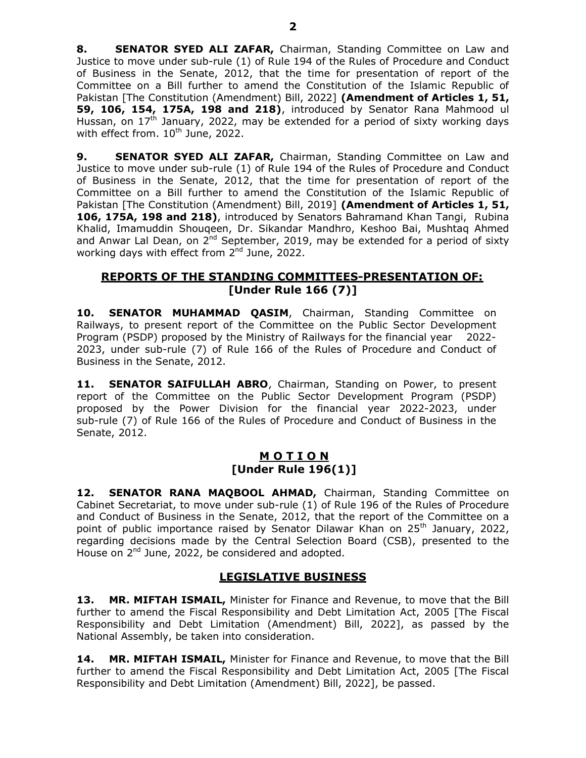8. SENATOR SYED ALI ZAFAR, Chairman, Standing Committee on Law and Justice to move under sub-rule (1) of Rule 194 of the Rules of Procedure and Conduct of Business in the Senate, 2012, that the time for presentation of report of the Committee on a Bill further to amend the Constitution of the Islamic Republic of Pakistan [The Constitution (Amendment) Bill, 2022] (Amendment of Articles 1, 51, 59, 106, 154, 175A, 198 and 218), introduced by Senator Rana Mahmood ul Hussan, on  $17^{th}$  January, 2022, may be extended for a period of sixty working days with effect from.  $10^{th}$  June, 2022.

9. SENATOR SYED ALI ZAFAR, Chairman, Standing Committee on Law and Justice to move under sub-rule (1) of Rule 194 of the Rules of Procedure and Conduct of Business in the Senate, 2012, that the time for presentation of report of the Committee on a Bill further to amend the Constitution of the Islamic Republic of Pakistan [The Constitution (Amendment) Bill, 2019] (Amendment of Articles 1, 51, 106, 175A, 198 and 218), introduced by Senators Bahramand Khan Tangi, Rubina Khalid, Imamuddin Shouqeen, Dr. Sikandar Mandhro, Keshoo Bai, Mushtaq Ahmed and Anwar Lal Dean, on  $2^{nd}$  September, 2019, may be extended for a period of sixty working days with effect from 2<sup>nd</sup> June, 2022.

## REPORTS OF THE STANDING COMMITTEES-PRESENTATION OF: [Under Rule 166 (7)]

10. SENATOR MUHAMMAD OASIM, Chairman, Standing Committee on Railways, to present report of the Committee on the Public Sector Development Program (PSDP) proposed by the Ministry of Railways for the financial year 2022- 2023, under sub-rule (7) of Rule 166 of the Rules of Procedure and Conduct of Business in the Senate, 2012.

11. SENATOR SAIFULLAH ABRO, Chairman, Standing on Power, to present report of the Committee on the Public Sector Development Program (PSDP) proposed by the Power Division for the financial year 2022-2023, under sub-rule (7) of Rule 166 of the Rules of Procedure and Conduct of Business in the Senate, 2012.

## <u>M O T I O N</u> [Under Rule 196(1)]

12. SENATOR RANA MAQBOOL AHMAD, Chairman, Standing Committee on Cabinet Secretariat, to move under sub-rule (1) of Rule 196 of the Rules of Procedure and Conduct of Business in the Senate, 2012, that the report of the Committee on a point of public importance raised by Senator Dilawar Khan on 25<sup>th</sup> January, 2022, regarding decisions made by the Central Selection Board (CSB), presented to the House on 2<sup>nd</sup> June, 2022, be considered and adopted.

## LEGISLATIVE BUSINESS

13. MR. MIFTAH ISMAIL, Minister for Finance and Revenue, to move that the Bill further to amend the Fiscal Responsibility and Debt Limitation Act, 2005 [The Fiscal Responsibility and Debt Limitation (Amendment) Bill, 2022], as passed by the National Assembly, be taken into consideration.

14. MR. MIFTAH ISMAIL, Minister for Finance and Revenue, to move that the Bill further to amend the Fiscal Responsibility and Debt Limitation Act, 2005 [The Fiscal Responsibility and Debt Limitation (Amendment) Bill, 2022], be passed.